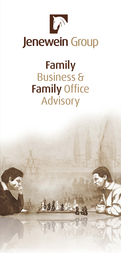

## Family Business & Family Office Advisory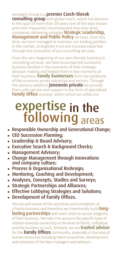## Jenewein Group is a **premier Czech-Slovak**<br>Consulting group with global reach, which has become

in the span of more than 30 years one of the best-known and most frequently recommended one-stop-shop<br>companies delivering complex **Strategic Leadership,** Management and Public Policy services. Over this time, we have managed to maintain our leading position in the market, strengthen trust and increase expertise through the innovation of our consulting services.

From the very beginning of our own (family) business in consulting services, we have accompanied successful business families in the moments of their strategic decision-making and helped them in key moments of their business. Family businesses form the backbone of the economy across industries and sectors. Through the advisory platform **Jenewein private** we provide them with service and support in the form of specialized Family Office concept, within which we utilize our

### expertise following areas in the

- **Executive Theory and Generational Change;**
- ◾ CEO Succession Planning;
- Leadership & Board Advisory;
- **Executive Search & Background Checks:**
- Management Advisory:
- **Example Management through innovations** and company culture;
- Process & Organisational Redesign;
- Mentoring, Coaching and Development;
- **Example 2 Analyses, Concepts, Studies and Surveys;**
- **Extrategic Partnerships and Alliances;**
- **Effective Lobbying Strategies and Solutions;**
- **Development of Family Offices.**

We are well aware of the sensitivity and complexity of a family business and therefore we intentionally build **longlasting partnerships** with each client to assure longevity of their business. We take into account the specific type of relation towards ownership at the level of family, individual and the business as such. Similarly, we are **trusted advisor** for the Family Offices community, especially in the area of human resources including talent acquisition, development and retention of the best managers and advisors.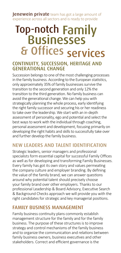**Jenewein private** team has got a large amount of experience across all sectors and is ready to provide

# & Offices services **Top-notch Family<br>Businesses**

#### CONTINUITY, SUCCESSION, HERITAGE AND GENERATIONAL CHANGE

Succession belongs to one of the most challenging processes in the family business. According to the European statistics, only approximately 35% of family businesses survive the transition to the second generation and only 12% the transition to the third generation. No family business can avoid the generational change. We can help you with strategically planning the whole process, early identifying the right family successor and securing his or her readiness to take over the leadership. We start with an in-depth assessment of personality, ego and potential and select the best ways to work with the individual through coaching, personal assessment and development, focusing primarily on developing the right habits and skills to successfully take over and further develop the family business.

#### NEW LEADERS AND TALENT IDENTIFICATION

Strategic leaders, senior managers and professional specialists form essential capital for successful Family Offices as well as for developing and transforming Family Businesses. Every family has got its own story and values permeating the company culture and employer branding. By defining the value of the family brand, we can answer questions around why potential talent should precisely choose your family brand over other employers. Thanks to our professional Leadership & Board Advisory, Executive Search & Background Checks approach we will provide you with the right candidates for strategic and key managerial positions.

#### FAMILY BUSINESS MANAGEMENT

Family business continuity plans commonly establish management structure for the family and for the family business. The purpose of these structures is to improve strategy and control mechanisms of the family business and to organize the communication and relations between family business owners, business executives and other stakeholders. Correct and efficient governance is the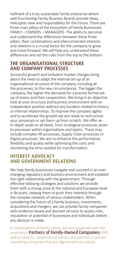hallmark of a truly sustainable family enterprise where well-functioning Family Business Boards provide ideas, helicopter view and responsibility for the future. There are three main pillars of the ecosystem of Family Businesses. FAMILY – OWNERS – MANAGERS. The ability to perceive and understand the differences between these three pillars, their combinations and interconnected interests and relations is a crucial factor for the company to grow and move forward. We will help you understand these differences and set the rules from the top to the bottom.

#### THE ORGANISATIONAL STRUCTURE AND COMPANY PROCESSES

Successful growth and turbulent market changes bring about the need to adapt the internal set-up of an organisational structure of the company, including all the processes, to the new circumstances. The bigger the company, the higher the demands for a precise formal setup of teams and their cooperation. We bring in an objective look at your structure and business environment with an independent position without any burdens related to history or internal relationships. To improve the company agility and to accelerate the growth we are ready to restructure your processes or set them up from scratch. We offer an in-depth audit on all levels, from strategical processes down to processes within organisations and teams. These may include complex HR processes, Supply Chain processes or Digital processes. We aim to enhance the performance, flexibility and quality while optimising the costs and shortening the time needed for transformation.

#### INTEREST ADVOCACY AND GOVERNMENT RELATIONS

We help family businesses navigate and succeed in an everchanging regulatory and business environment and establish the right relationship with the government. Through effective lobbying strategies and solutions we provide them with a strong voice at the national and European level in Brussels, helping them to push their interests through the complex network of various stakeholders. When considering the future of a family business, investments, acquisitions and mergers, we can provide family companies with evidence-based and discreet services to assess risks, reputation or potential of businesses and individuals before any decision is made.

In consolidation of family values, we also cooperate with the association Partners of Family-Owned Companies (PRF) and its experts – experienced owners and partners in private consulting companies that are aligned with our values.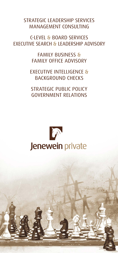STRATEGIC LEADERSHIP SERVICES MANAGEMENT CONSULTING

C-LEVEL & BOARD SERVICES EXECUTIVE SEARCH & LEADERSHIP ADVISORY

> FAMILY BUSINESS & FAMILY OFFICE ADVISORY

EXECUTIVE INTELLIGENCE & BACKGROUND CHECKS

STRATEGIC PUBLIC POLICY GOVERNMENT RELATIONS